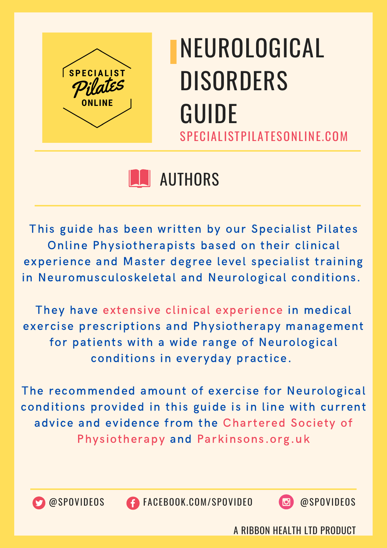

## **N** AUTHORS

This guide has been written by our Specialist Pilates Online Physiotherapists based on their clinical experience and Master degree level specialist training in Neuromusculoskeletal and Neurological conditions.

They have extensive clinical experience in medical exercise prescriptions and Physiotherapy management for patients with a wide range of Neurological conditions in everyday practice.

The recommended amount of exercise for Neurological conditions provided in this guide is in line with current advice and evidence from the Chartered Society of Physiotherapy and Parkinsons.org.uk



@SPOVIDEOS FACEBOOK.COM/SPOVIDEO @SPOVIDEOS

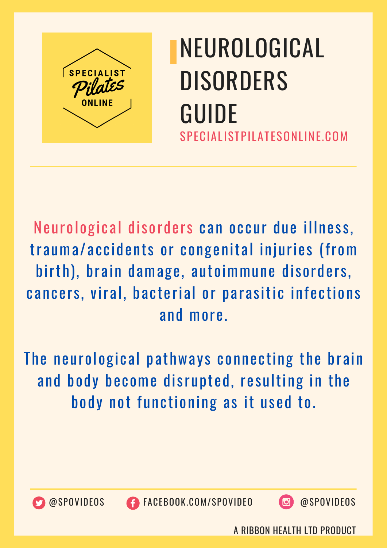

Neurological disorders can occur due illness, trauma/accidents or congenital injuries (from birth), brain damage, autoimmune disorders, cancers, viral, bacterial or parasitic infections and more.

The neurological pathways connecting the brain and body become disrupted, resulting in the body not functioning as it used to.



@SPOVIDEOS FACEBOOK.COM/SPOVIDEO @SPOVIDEOS

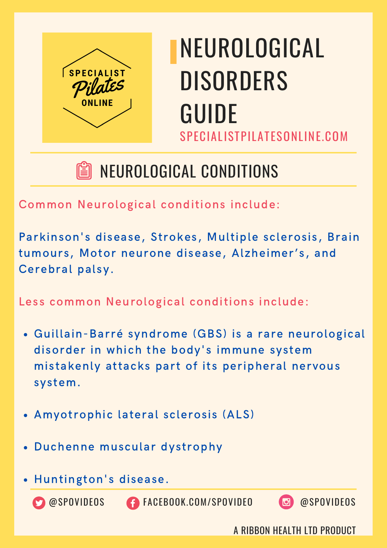

## NEUROLOGICAL CONDITIONS

Common Neurological conditions include:

Parkinson's disease, Strokes, Multiple sclerosis, Brain tumours, Motor neurone disease, Alzheimer's, and Cerebral palsy.

Less common Neurological conditions include:

- Guillain-Barré syndrome (GBS) is a rare neurological disorder in which the body's immune system mistakenly attacks part of its peripheral nervous system.
- Amyotrophic lateral sclerosis (ALS)
- Duchenne muscular dystrophy
- Huntington's disease.

@SPOVIDEOS FACEBOOK.COM/SPOVIDEO @SPOVIDEOS

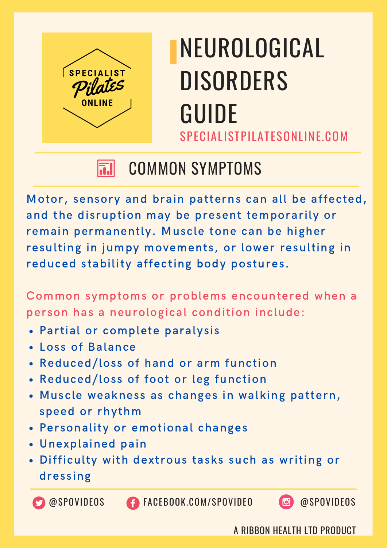

#### COMMON SYMPTOMS 51

Motor, sensory and brain patterns can all be affected, and the disruption may be present temporarily or remain permanently. Muscle tone can be higher resulting in jumpy movements, or lower resulting in reduced stability affecting body postures.

Common symptoms or problems encountered when a person has a neurological condition include:

- Partial or complete paralysis
- Loss of Balance
- Reduced/loss of hand or arm function
- Reduced/loss of foot or leg function
- Muscle weakness as changes in walking pattern, speed or rhythm
- Personality or emotional changes
- Unexplained pain
- Difficulty with dextrous tasks such as writing or dressing

@SPOVIDEOS FACEBOOK.COM/SPOVIDEO @SPOVIDEOS

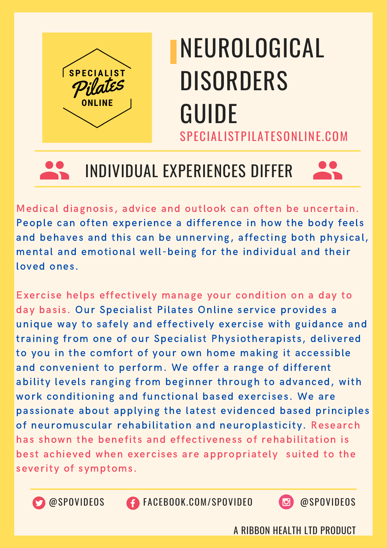



#### INDIVIDUAL EXPERIENCES DIFFER



Medical diagnosis, advice and outlook can often be uncertain. People can often experience a difference in how the body feels and behaves and this can be unnerving, affecting both physical, mental and emotional well-being for the individual and their loved ones.

Exercise helps effectively manage your condition on a day to day basis. Our Specialist Pilates Online service provides a unique way to safely and effectively exercise with guidance and training from one of our Specialist Physiotherapists, delivered to you in the comfort of your own home making it accessible and convenient to perform. We offer a range of different ability levels ranging from beginner through to advanced, with work conditioning and functional based exercises. We are passionate about applying the latest evidenced based principles of neuromuscular rehabilitation and neuroplasticity. Research has shown the benefits and effectiveness of rehabilitation is best achieved when exercises are appropriately suited to the severity of symptoms.



@SPOVIDEOS FACEBOOK.COM/SPOVIDEO @SPOVIDEOS

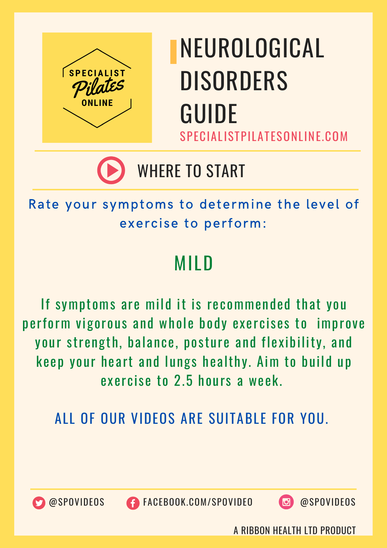

## WHERE TO START

Rate your symptoms to determine the level of exercise to perform:

## MILD

If symptoms are mild it is recommended that you perform vigorous and whole body exercises to improve your strength, balance, posture and flexibility, and keep your heart and lungs healthy. Aim to build up exercise to 2.5 hours a week.

ALL OF OUR VIDEOS ARE SUITABLE FOR YOU.



@SPOVIDEOS FACEBOOK.COM/SPOVIDEO @SPOVIDEOS

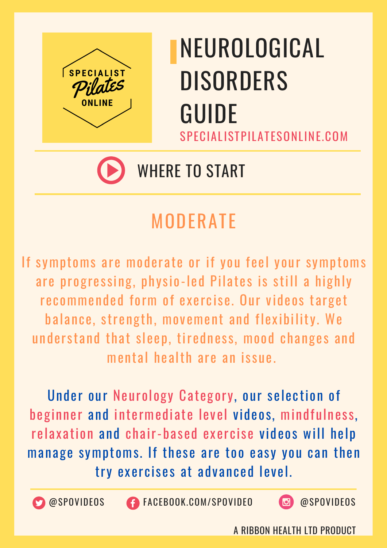

## WHERE TO START

## MODERATE

If symptoms are moderate or if you feel your symptoms are progressing, physio-led Pilates is still a highly recommended form of exercise. Our videos target balance, strength, movement and flexibility. We understand that sleep, tiredness, mood changes and mental health are an issue.

Under our Neurology Category, our selection of beginner and intermediate level videos, mindfulness, relaxation and chair-based exercise videos will help manage symptoms. If these are too easy you can then try exercises at advanced level.



@SPOVIDEOS FACEBOOK.COM/SPOVIDEO @SPOVIDEOS

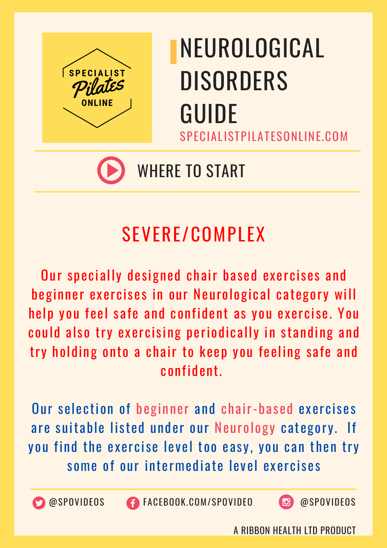

## WHERE TO START

## SEVERE/COMPLEX

Our specially designed chair based exercises and beginner exercises in our Neurological category will help you feel safe and confident as you exercise. You could also try exercising periodically in standing and try holding onto a chair to keep you feeling safe and confident.

Our selection of beginner and chair-based exercises are suitable listed under our Neurology category. If you find the exercise level too easy, you can then try some of our intermediate level exercises



@SPOVIDEOS FACEBOOK.COM/SPOVIDEO @SPOVIDEOS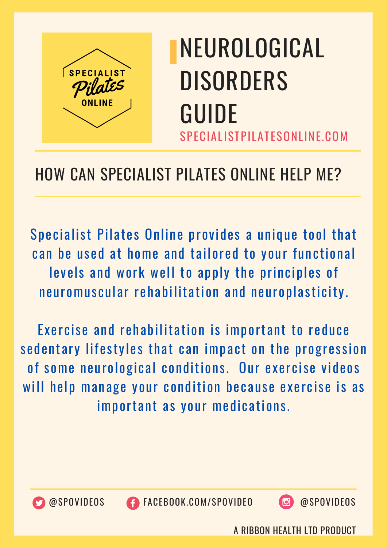

#### HOW CAN SPECIALIST PILATES ONLINE HELP ME?

Specialist Pilates Online provides a unique tool that can be used at home and tailored to your functional levels and work well to apply the principles of neuromuscular rehabilitation and neuroplasticity.

Exercise and rehabilitation is important to reduce sedentary lifestyles that can impact on the progression of some neurological conditions. Our exercise videos will help manage your condition because exercise is as important as your medications.



@SPOVIDEOS FACEBOOK.COM/SPOVIDEO @SPOVIDEOS

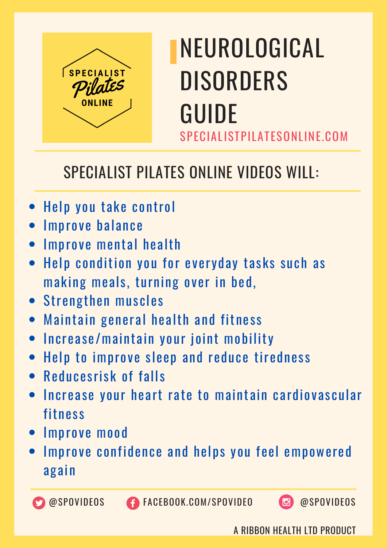

#### SPECIALIST PILATES ONLINE VIDEOS WILL:

- Help you take control
- **Improve balance**
- Improve mental health
- Help condition you for everyday tasks such as making meals, turning over in bed,
- Strengthen muscles
- Maintain general health and fitness
- Increase/maintain your joint mobility
- Help to improve sleep and reduce tiredness
- Reducesrisk of falls
- Increase your heart rate to maintain cardiovascular fitness
- Improve mood
- Improve confidence and helps you feel empowered again



**@SPOVIDEOS CONGEBOOK.COM/SPOVIDEO @**SPOVIDEOS

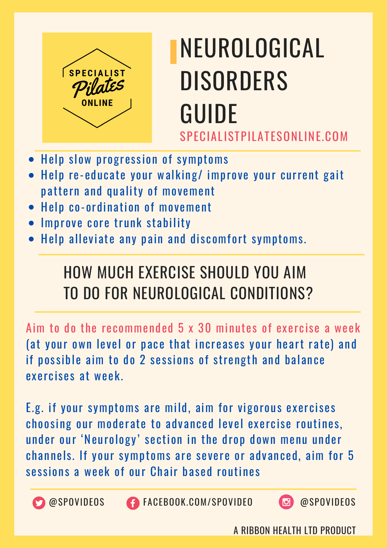

- Help slow progression of symptoms
- Help re-educate your walking/ improve your current gait pattern and quality of movement
- Help co-ordination of movement
- Improve core trunk stability  $\bullet$
- Help alleviate any pain and discomfort symptoms.

## HOW MUCH EXERCISE SHOULD YOU AIM TO DO FOR NEUROLOGICAL CONDITIONS?

Aim to do the recommended 5 x 30 minutes of exercise a week (at your own level or pace that increases your heart rate) and if possible aim to do 2 sessions of strength and balance exercises at week.

E.g. if your symptoms are mild, aim for vigorous exercises choosing our moderate to advanced level exercise routines, under our 'Neurology' section in the drop down menu under channels. If your symptoms are severe or advanced, aim for 5 sessions a week of our Chair based routines



**CO** @SPOVIDEOS **CONGESCITE CONVERGENCE CONGESCITE CONGESCITATIONS**